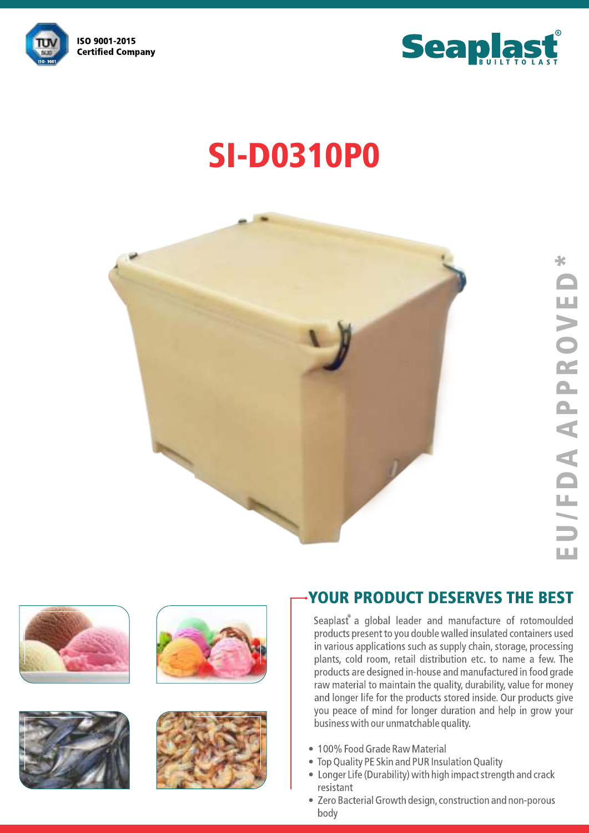



# **SI-D0310P0**











### **YOUR PRODUCT DESERVES THE BEST**

Seaplast a global leader and manufacture of rotomoulded products present to you double walled insulated containers used in various applications such as supply chain, storage, processing plants, cold room, retail distribution etc. to name a few. The products are designed in-house and manufactured in food grade raw material to maintain the quality, durability, value for money and longer life for the products stored inside. Our products give you peace of mind for longer duration and help in grow your business with our unmatchable quality.

- 100% Food Grade Raw Material
- Top Quality PE Skin and PUR Insulation Quality
- Longer Life (Durability) with high impact strength and crack resistant
- Zero Bacterial Growth design, construction and non-porous body